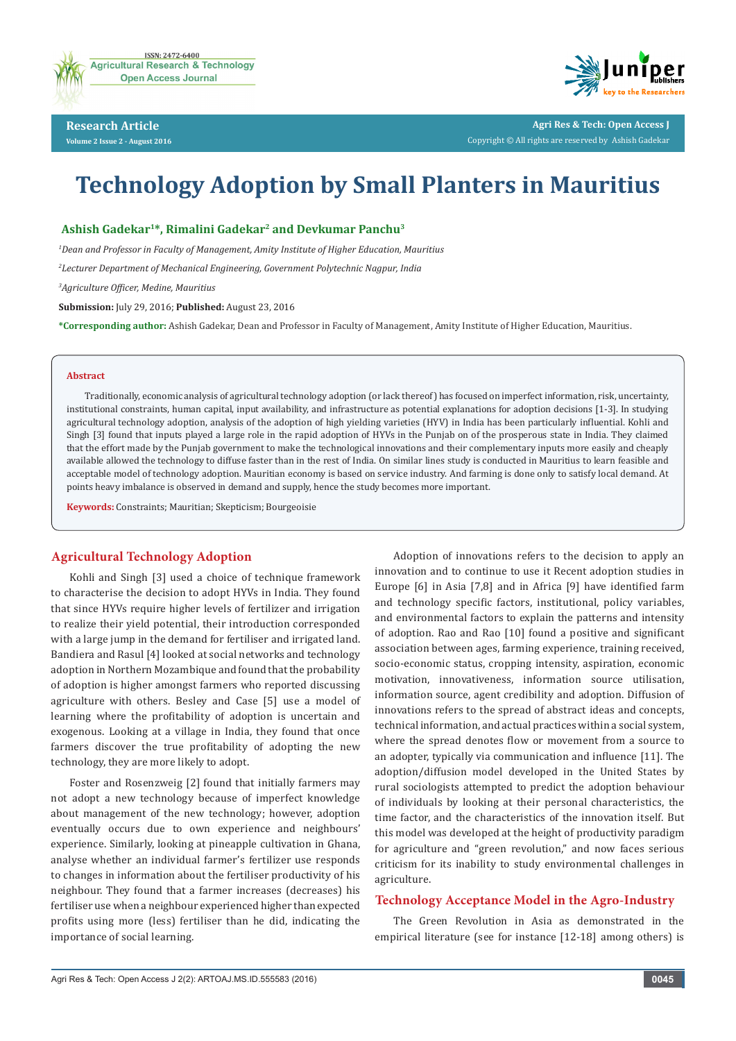



**Agri Res & Tech: Open Access J** Copyright © All rights are reserved by Ashish Gadekar

# **Technology Adoption by Small Planters in Mauritius**

 **Ashish Gadekar1\*, Rimalini Gadekar2 and Devkumar Panchu3**

*1 Dean and Professor in Faculty of Management, Amity Institute of Higher Education, Mauritius*

*2 Lecturer Department of Mechanical Engineering, Government Polytechnic Nagpur, India*

*3 Agriculture Officer, Medine, Mauritius*

**Submission:** July 29, 2016; **Published:** August 23, 2016

**\*Corresponding author:** Ashish Gadekar, Dean and Professor in Faculty of Management, Amity Institute of Higher Education, Mauritius.

#### **Abstract**

Traditionally, economic analysis of agricultural technology adoption (or lack thereof) has focused on imperfect information, risk, uncertainty, institutional constraints, human capital, input availability, and infrastructure as potential explanations for adoption decisions [1-3]. In studying agricultural technology adoption, analysis of the adoption of high yielding varieties (HYV) in India has been particularly influential. Kohli and Singh [3] found that inputs played a large role in the rapid adoption of HYVs in the Punjab on of the prosperous state in India. They claimed that the effort made by the Punjab government to make the technological innovations and their complementary inputs more easily and cheaply available allowed the technology to diffuse faster than in the rest of India. On similar lines study is conducted in Mauritius to learn feasible and acceptable model of technology adoption. Mauritian economy is based on service industry. And farming is done only to satisfy local demand. At points heavy imbalance is observed in demand and supply, hence the study becomes more important.

**Keywords:** Constraints; Mauritian; Skepticism; Bourgeoisie

## **Agricultural Technology Adoption**

Kohli and Singh [3] used a choice of technique framework to characterise the decision to adopt HYVs in India. They found that since HYVs require higher levels of fertilizer and irrigation to realize their yield potential, their introduction corresponded with a large jump in the demand for fertiliser and irrigated land. Bandiera and Rasul [4] looked at social networks and technology adoption in Northern Mozambique and found that the probability of adoption is higher amongst farmers who reported discussing agriculture with others. Besley and Case [5] use a model of learning where the profitability of adoption is uncertain and exogenous. Looking at a village in India, they found that once farmers discover the true profitability of adopting the new technology, they are more likely to adopt.

Foster and Rosenzweig [2] found that initially farmers may not adopt a new technology because of imperfect knowledge about management of the new technology; however, adoption eventually occurs due to own experience and neighbours' experience. Similarly, looking at pineapple cultivation in Ghana, analyse whether an individual farmer's fertilizer use responds to changes in information about the fertiliser productivity of his neighbour. They found that a farmer increases (decreases) his fertiliser use when a neighbour experienced higher than expected profits using more (less) fertiliser than he did, indicating the importance of social learning.

Adoption of innovations refers to the decision to apply an innovation and to continue to use it Recent adoption studies in Europe [6] in Asia [7,8] and in Africa [9] have identified farm and technology specific factors, institutional, policy variables, and environmental factors to explain the patterns and intensity of adoption. Rao and Rao [10] found a positive and significant association between ages, farming experience, training received, socio-economic status, cropping intensity, aspiration, economic motivation, innovativeness, information source utilisation, information source, agent credibility and adoption. Diffusion of innovations refers to the spread of abstract ideas and concepts, technical information, and actual practices within a social system, where the spread denotes flow or movement from a source to an adopter, typically via communication and influence [11]. The adoption/diffusion model developed in the United States by rural sociologists attempted to predict the adoption behaviour of individuals by looking at their personal characteristics, the time factor, and the characteristics of the innovation itself. But this model was developed at the height of productivity paradigm for agriculture and "green revolution," and now faces serious criticism for its inability to study environmental challenges in agriculture.

## **Technology Acceptance Model in the Agro-Industry**

The Green Revolution in Asia as demonstrated in the empirical literature (see for instance [12-18] among others) is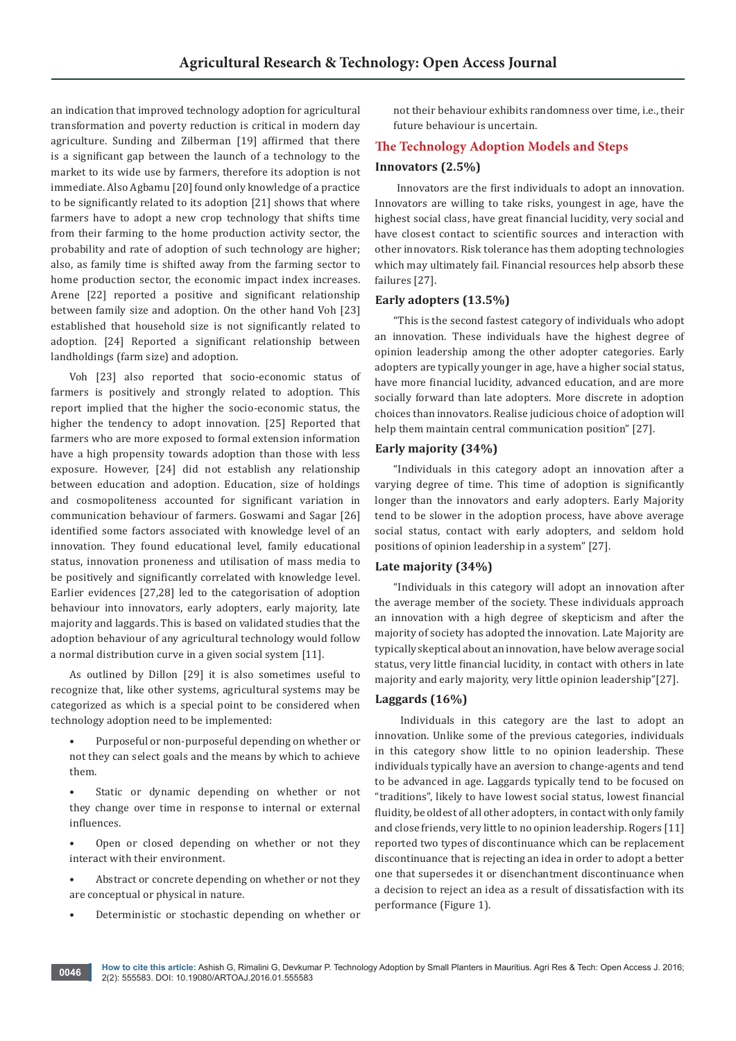an indication that improved technology adoption for agricultural transformation and poverty reduction is critical in modern day agriculture. Sunding and Zilberman [19] affirmed that there is a significant gap between the launch of a technology to the market to its wide use by farmers, therefore its adoption is not immediate. Also Agbamu [20] found only knowledge of a practice to be significantly related to its adoption [21] shows that where farmers have to adopt a new crop technology that shifts time from their farming to the home production activity sector, the probability and rate of adoption of such technology are higher; also, as family time is shifted away from the farming sector to home production sector, the economic impact index increases. Arene [22] reported a positive and significant relationship between family size and adoption. On the other hand Voh [23] established that household size is not significantly related to adoption. [24] Reported a significant relationship between landholdings (farm size) and adoption.

Voh [23] also reported that socio-economic status of farmers is positively and strongly related to adoption. This report implied that the higher the socio-economic status, the higher the tendency to adopt innovation. [25] Reported that farmers who are more exposed to formal extension information have a high propensity towards adoption than those with less exposure. However, [24] did not establish any relationship between education and adoption. Education, size of holdings and cosmopoliteness accounted for significant variation in communication behaviour of farmers. Goswami and Sagar [26] identified some factors associated with knowledge level of an innovation. They found educational level, family educational status, innovation proneness and utilisation of mass media to be positively and significantly correlated with knowledge level. Earlier evidences [27,28] led to the categorisation of adoption behaviour into innovators, early adopters, early majority, late majority and laggards. This is based on validated studies that the adoption behaviour of any agricultural technology would follow a normal distribution curve in a given social system [11].

As outlined by Dillon [29] it is also sometimes useful to recognize that, like other systems, agricultural systems may be categorized as which is a special point to be considered when technology adoption need to be implemented:

- Purposeful or non-purposeful depending on whether or not they can select goals and the means by which to achieve them.
- Static or dynamic depending on whether or not they change over time in response to internal or external influences.
- Open or closed depending on whether or not they interact with their environment.
- Abstract or concrete depending on whether or not they are conceptual or physical in nature.
- Deterministic or stochastic depending on whether or

not their behaviour exhibits randomness over time, i.e., their future behaviour is uncertain.

# **The Technology Adoption Models and Steps**

# **Innovators (2.5%)**

 Innovators are the first individuals to adopt an innovation. Innovators are willing to take risks, youngest in age, have the highest social class, have great financial lucidity, very social and have closest contact to scientific sources and interaction with other innovators. Risk tolerance has them adopting technologies which may ultimately fail. Financial resources help absorb these failures [27].

## **Early adopters (13.5%)**

"This is the second fastest category of individuals who adopt an innovation. These individuals have the highest degree of opinion leadership among the other adopter categories. Early adopters are typically younger in age, have a higher social status, have more financial lucidity, advanced education, and are more socially forward than late adopters. More discrete in adoption choices than innovators. Realise judicious choice of adoption will help them maintain central communication position" [27].

## **Early majority (34%)**

"Individuals in this category adopt an innovation after a varying degree of time. This time of adoption is significantly longer than the innovators and early adopters. Early Majority tend to be slower in the adoption process, have above average social status, contact with early adopters, and seldom hold positions of opinion leadership in a system" [27].

# **Late majority (34%)**

"Individuals in this category will adopt an innovation after the average member of the society. These individuals approach an innovation with a high degree of skepticism and after the majority of society has adopted the innovation. Late Majority are typically skeptical about an innovation, have below average social status, very little financial lucidity, in contact with others in late majority and early majority, very little opinion leadership"[27].

# **Laggards (16%)**

 Individuals in this category are the last to adopt an innovation. Unlike some of the previous categories, individuals in this category show little to no opinion leadership. These individuals typically have an aversion to change-agents and tend to be advanced in age. Laggards typically tend to be focused on "traditions", likely to have lowest social status, lowest financial fluidity, be oldest of all other adopters, in contact with only family and close friends, very little to no opinion leadership. Rogers [11] reported two types of discontinuance which can be replacement discontinuance that is rejecting an idea in order to adopt a better one that supersedes it or disenchantment discontinuance when a decision to reject an idea as a result of dissatisfaction with its performance (Figure 1).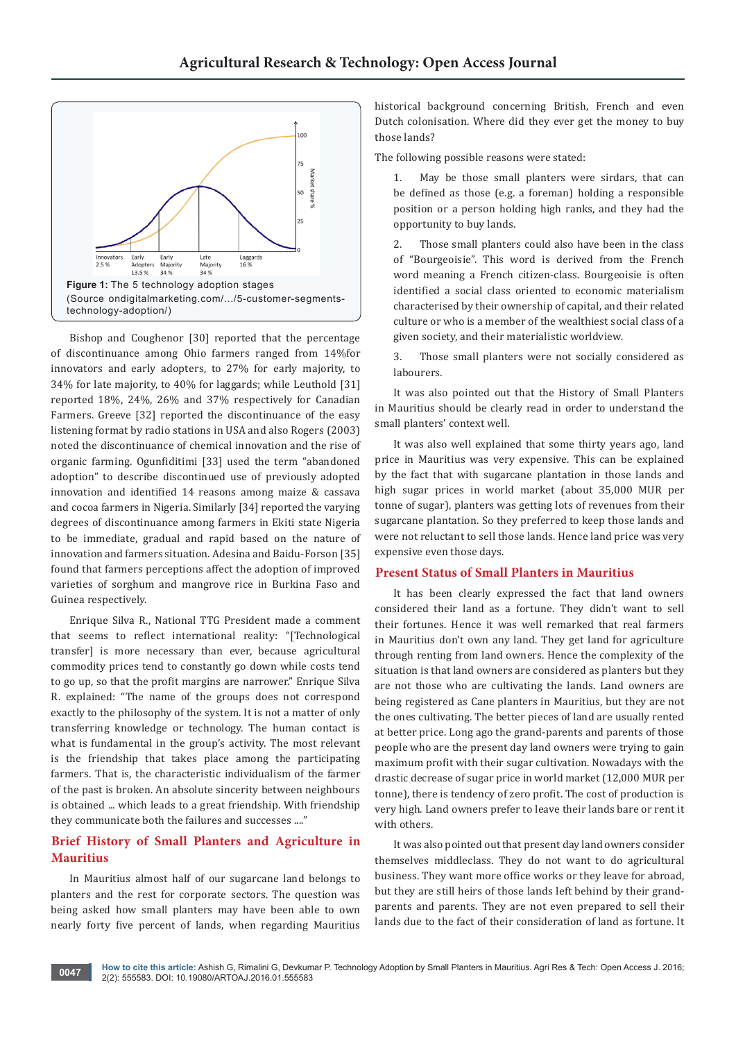

Bishop and Coughenor [30] reported that the percentage of discontinuance among Ohio farmers ranged from 14%for innovators and early adopters, to 27% for early majority, to 34% for late majority, to 40% for laggards; while Leuthold [31] reported 18%, 24%, 26% and 37% respectively for Canadian Farmers. Greeve [32] reported the discontinuance of the easy listening format by radio stations in USA and also Rogers (2003) noted the discontinuance of chemical innovation and the rise of organic farming. Ogunfiditimi [33] used the term "abandoned adoption" to describe discontinued use of previously adopted innovation and identified 14 reasons among maize & cassava and cocoa farmers in Nigeria. Similarly [34] reported the varying degrees of discontinuance among farmers in Ekiti state Nigeria to be immediate, gradual and rapid based on the nature of innovation and farmers situation. Adesina and Baidu-Forson [35] found that farmers perceptions affect the adoption of improved varieties of sorghum and mangrove rice in Burkina Faso and Guinea respectively.

Enrique Silva R., National TTG President made a comment that seems to reflect international reality: "[Technological transfer] is more necessary than ever, because agricultural commodity prices tend to constantly go down while costs tend to go up, so that the profit margins are narrower." Enrique Silva R. explained: "The name of the groups does not correspond exactly to the philosophy of the system. It is not a matter of only transferring knowledge or technology. The human contact is what is fundamental in the group's activity. The most relevant is the friendship that takes place among the participating farmers. That is, the characteristic individualism of the farmer of the past is broken. An absolute sincerity between neighbours is obtained ... which leads to a great friendship. With friendship they communicate both the failures and successes ...."

# **Brief History of Small Planters and Agriculture in Mauritius**

In Mauritius almost half of our sugarcane land belongs to planters and the rest for corporate sectors. The question was being asked how small planters may have been able to own nearly forty five percent of lands, when regarding Mauritius historical background concerning British, French and even Dutch colonisation. Where did they ever get the money to buy those lands?

The following possible reasons were stated:

1. May be those small planters were sirdars, that can be defined as those (e.g. a foreman) holding a responsible position or a person holding high ranks, and they had the opportunity to buy lands.

2. Those small planters could also have been in the class of "Bourgeoisie". This word is derived from the French word meaning a French citizen-class. Bourgeoisie is often identified a social class oriented to economic materialism characterised by their ownership of capital, and their related culture or who is a member of the wealthiest social class of a given society, and their materialistic worldview.

3. Those small planters were not socially considered as labourers.

It was also pointed out that the History of Small Planters in Mauritius should be clearly read in order to understand the small planters' context well.

It was also well explained that some thirty years ago, land price in Mauritius was very expensive. This can be explained by the fact that with sugarcane plantation in those lands and high sugar prices in world market (about 35,000 MUR per tonne of sugar), planters was getting lots of revenues from their sugarcane plantation. So they preferred to keep those lands and were not reluctant to sell those lands. Hence land price was very expensive even those days.

# **Present Status of Small Planters in Mauritius**

It has been clearly expressed the fact that land owners considered their land as a fortune. They didn't want to sell their fortunes. Hence it was well remarked that real farmers in Mauritius don't own any land. They get land for agriculture through renting from land owners. Hence the complexity of the situation is that land owners are considered as planters but they are not those who are cultivating the lands. Land owners are being registered as Cane planters in Mauritius, but they are not the ones cultivating. The better pieces of land are usually rented at better price. Long ago the grand-parents and parents of those people who are the present day land owners were trying to gain maximum profit with their sugar cultivation. Nowadays with the drastic decrease of sugar price in world market (12,000 MUR per tonne), there is tendency of zero profit. The cost of production is very high. Land owners prefer to leave their lands bare or rent it with others.

It was also pointed out that present day land owners consider themselves middleclass. They do not want to do agricultural business. They want more office works or they leave for abroad, but they are still heirs of those lands left behind by their grandparents and parents. They are not even prepared to sell their lands due to the fact of their consideration of land as fortune. It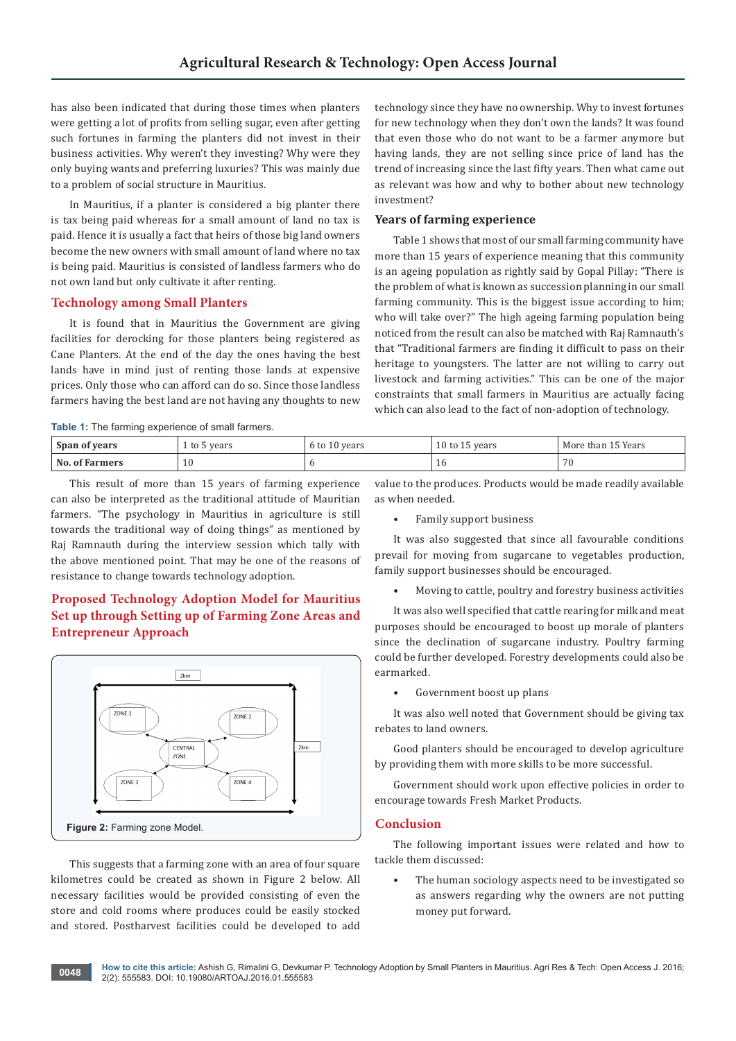has also been indicated that during those times when planters were getting a lot of profits from selling sugar, even after getting such fortunes in farming the planters did not invest in their business activities. Why weren't they investing? Why were they only buying wants and preferring luxuries? This was mainly due to a problem of social structure in Mauritius.

In Mauritius, if a planter is considered a big planter there is tax being paid whereas for a small amount of land no tax is paid. Hence it is usually a fact that heirs of those big land owners become the new owners with small amount of land where no tax is being paid. Mauritius is consisted of landless farmers who do not own land but only cultivate it after renting.

# **Technology among Small Planters**

It is found that in Mauritius the Government are giving facilities for derocking for those planters being registered as Cane Planters. At the end of the day the ones having the best lands have in mind just of renting those lands at expensive prices. Only those who can afford can do so. Since those landless farmers having the best land are not having any thoughts to new

technology since they have no ownership. Why to invest fortunes for new technology when they don't own the lands? It was found that even those who do not want to be a farmer anymore but having lands, they are not selling since price of land has the trend of increasing since the last fifty years. Then what came out as relevant was how and why to bother about new technology investment?

## **Years of farming experience**

Table 1 shows that most of our small farming community have more than 15 years of experience meaning that this community is an ageing population as rightly said by Gopal Pillay: "There is the problem of what is known as succession planning in our small farming community. This is the biggest issue according to him; who will take over?" The high ageing farming population being noticed from the result can also be matched with Raj Ramnauth's that "Traditional farmers are finding it difficult to pass on their heritage to youngsters. The latter are not willing to carry out livestock and farming activities." This can be one of the major constraints that small farmers in Mauritius are actually facing which can also lead to the fact of non-adoption of technology.

#### **Table 1:** The farming experience of small farmers.

| Span of<br>t years    | to<br>years | years<br>ັ | $\Omega$<br>years | 5 Years<br>More<br>than<br>⊥∪ |
|-----------------------|-------------|------------|-------------------|-------------------------------|
| <b>No. of Farmers</b> | 10<br>__    |            | 10<br>__          | 70                            |

This result of more than 15 years of farming experience can also be interpreted as the traditional attitude of Mauritian farmers. "The psychology in Mauritius in agriculture is still towards the traditional way of doing things" as mentioned by Raj Ramnauth during the interview session which tally with the above mentioned point. That may be one of the reasons of resistance to change towards technology adoption.

# **Proposed Technology Adoption Model for Mauritius Set up through Setting up of Farming Zone Areas and Entrepreneur Approach**



This suggests that a farming zone with an area of four square kilometres could be created as shown in Figure 2 below. All necessary facilities would be provided consisting of even the store and cold rooms where produces could be easily stocked and stored. Postharvest facilities could be developed to add

value to the produces. Products would be made readily available as when needed.

Family support business

It was also suggested that since all favourable conditions prevail for moving from sugarcane to vegetables production, family support businesses should be encouraged.

• Moving to cattle, poultry and forestry business activities

It was also well specified that cattle rearing for milk and meat purposes should be encouraged to boost up morale of planters since the declination of sugarcane industry. Poultry farming could be further developed. Forestry developments could also be earmarked.

Government boost up plans

It was also well noted that Government should be giving tax rebates to land owners.

Good planters should be encouraged to develop agriculture by providing them with more skills to be more successful.

Government should work upon effective policies in order to encourage towards Fresh Market Products.

# **Conclusion**

The following important issues were related and how to tackle them discussed:

The human sociology aspects need to be investigated so as answers regarding why the owners are not putting money put forward.